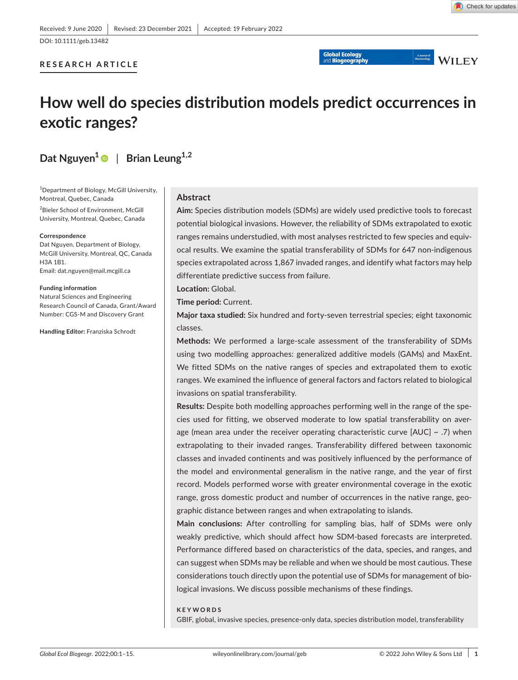# **RESEARCH ARTICLE**

Macoecology WILEY

# **How well do species distribution models predict occurrences in exotic ranges?**

# **Dat** Nguyen<sup>1</sup> | Brian Leung<sup>1,2</sup>

1 Department of Biology, McGill University, Montreal, Quebec, Canada

2 Bieler School of Environment, McGill University, Montreal, Quebec, Canada

#### **Correspondence**

Dat Nguyen, Department of Biology, McGill University, Montreal, QC, Canada H3A 1B1. Email: [dat.nguyen@mail.mcgill.ca](mailto:dat.nguyen@mail.mcgill.ca)

**Funding information** Natural Sciences and Engineering Research Council of Canada, Grant/Award Number: CGS-M and Discovery Grant

**Handling Editor:** Franziska Schrodt

# **Abstract**

**Aim:** Species distribution models (SDMs) are widely used predictive tools to forecast potential biological invasions. However, the reliability of SDMs extrapolated to exotic ranges remains understudied, with most analyses restricted to few species and equivocal results. We examine the spatial transferability of SDMs for 647 non-indigenous species extrapolated across 1,867 invaded ranges, and identify what factors may help differentiate predictive success from failure.

**Location:** Global.

**Time period:** Current.

**Major taxa studied:** Six hundred and forty-seven terrestrial species; eight taxonomic classes.

**Methods:** We performed a large-scale assessment of the transferability of SDMs using two modelling approaches: generalized additive models (GAMs) and MaxEnt. We fitted SDMs on the native ranges of species and extrapolated them to exotic ranges. We examined the influence of general factors and factors related to biological invasions on spatial transferability.

**Results:** Despite both modelling approaches performing well in the range of the species used for fitting, we observed moderate to low spatial transferability on average (mean area under the receiver operating characteristic curve  $[AUC] \sim .7$ ) when extrapolating to their invaded ranges. Transferability differed between taxonomic classes and invaded continents and was positively influenced by the performance of the model and environmental generalism in the native range, and the year of first record. Models performed worse with greater environmental coverage in the exotic range, gross domestic product and number of occurrences in the native range, geographic distance between ranges and when extrapolating to islands.

**Main conclusions:** After controlling for sampling bias, half of SDMs were only weakly predictive, which should affect how SDM-based forecasts are interpreted. Performance differed based on characteristics of the data, species, and ranges, and can suggest when SDMs may be reliable and when we should be most cautious. These considerations touch directly upon the potential use of SDMs for management of biological invasions. We discuss possible mechanisms of these findings.

#### **KEYWORDS**

GBIF, global, invasive species, presence-only data, species distribution model, transferability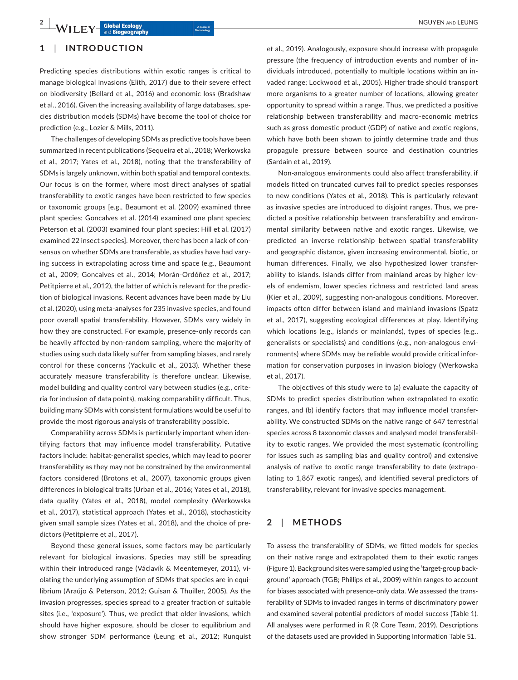# **2 <sup>|</sup>**  NGUYEN and LEUNG

# **1**  | **INTRODUCTION**

Predicting species distributions within exotic ranges is critical to manage biological invasions (Elith, 2017) due to their severe effect on biodiversity (Bellard et al., 2016) and economic loss (Bradshaw et al., 2016). Given the increasing availability of large databases, species distribution models (SDMs) have become the tool of choice for prediction (e.g., Lozier & Mills, 2011).

The challenges of developing SDMs as predictive tools have been summarized in recent publications (Sequeira et al., 2018; Werkowska et al., 2017; Yates et al., 2018), noting that the transferability of SDMs is largely unknown, within both spatial and temporal contexts. Our focus is on the former, where most direct analyses of spatial transferability to exotic ranges have been restricted to few species or taxonomic groups [e.g., Beaumont et al. (2009) examined three plant species; Goncalves et al. (2014) examined one plant species; Peterson et al. (2003) examined four plant species; Hill et al. (2017) examined 22 insect species]. Moreover, there has been a lack of consensus on whether SDMs are transferable, as studies have had varying success in extrapolating across time and space (e.g., Beaumont et al., 2009; Goncalves et al., 2014; Morán-Ordóñez et al., 2017; Petitpierre et al., 2012), the latter of which is relevant for the prediction of biological invasions. Recent advances have been made by Liu et al. (2020), using meta-analyses for 235 invasive species, and found poor overall spatial transferability. However, SDMs vary widely in how they are constructed. For example, presence-only records can be heavily affected by non-random sampling, where the majority of studies using such data likely suffer from sampling biases, and rarely control for these concerns (Yackulic et al., 2013). Whether these accurately measure transferability is therefore unclear. Likewise, model building and quality control vary between studies (e.g., criteria for inclusion of data points), making comparability difficult. Thus, building many SDMs with consistent formulations would be useful to provide the most rigorous analysis of transferability possible.

Comparability across SDMs is particularly important when identifying factors that may influence model transferability. Putative factors include: habitat-generalist species, which may lead to poorer transferability as they may not be constrained by the environmental factors considered (Brotons et al., 2007), taxonomic groups given differences in biological traits (Urban et al., 2016; Yates et al., 2018), data quality (Yates et al., 2018), model complexity (Werkowska et al., 2017), statistical approach (Yates et al., 2018), stochasticity given small sample sizes (Yates et al., 2018), and the choice of predictors (Petitpierre et al., 2017).

Beyond these general issues, some factors may be particularly relevant for biological invasions. Species may still be spreading within their introduced range (Václavík & Meentemeyer, 2011), violating the underlying assumption of SDMs that species are in equilibrium (Araújo & Peterson, 2012; Guisan & Thuiller, 2005). As the invasion progresses, species spread to a greater fraction of suitable sites (i.e., 'exposure'). Thus, we predict that older invasions, which should have higher exposure, should be closer to equilibrium and show stronger SDM performance (Leung et al., 2012; Runquist

et al., 2019). Analogously, exposure should increase with propagule pressure (the frequency of introduction events and number of individuals introduced, potentially to multiple locations within an invaded range; Lockwood et al., 2005). Higher trade should transport more organisms to a greater number of locations, allowing greater opportunity to spread within a range. Thus, we predicted a positive relationship between transferability and macro-economic metrics such as gross domestic product (GDP) of native and exotic regions, which have both been shown to jointly determine trade and thus propagule pressure between source and destination countries (Sardain et al., 2019).

Non-analogous environments could also affect transferability, if models fitted on truncated curves fail to predict species responses to new conditions (Yates et al., 2018). This is particularly relevant as invasive species are introduced to disjoint ranges. Thus, we predicted a positive relationship between transferability and environmental similarity between native and exotic ranges. Likewise, we predicted an inverse relationship between spatial transferability and geographic distance, given increasing environmental, biotic, or human differences. Finally, we also hypothesized lower transferability to islands. Islands differ from mainland areas by higher levels of endemism, lower species richness and restricted land areas (Kier et al., 2009), suggesting non-analogous conditions. Moreover, impacts often differ between island and mainland invasions (Spatz et al., 2017), suggesting ecological differences at play. Identifying which locations (e.g., islands or mainlands), types of species (e.g., generalists or specialists) and conditions (e.g., non-analogous environments) where SDMs may be reliable would provide critical information for conservation purposes in invasion biology (Werkowska et al., 2017).

The objectives of this study were to (a) evaluate the capacity of SDMs to predict species distribution when extrapolated to exotic ranges, and (b) identify factors that may influence model transferability. We constructed SDMs on the native range of 647 terrestrial species across 8 taxonomic classes and analysed model transferability to exotic ranges. We provided the most systematic (controlling for issues such as sampling bias and quality control) and extensive analysis of native to exotic range transferability to date (extrapolating to 1,867 exotic ranges), and identified several predictors of transferability, relevant for invasive species management.

# **2**  | **METHODS**

To assess the transferability of SDMs, we fitted models for species on their native range and extrapolated them to their exotic ranges (Figure 1). Background sites were sampled using the 'target-group background' approach (TGB; Phillips et al., 2009) within ranges to account for biases associated with presence-only data. We assessed the transferability of SDMs to invaded ranges in terms of discriminatory power and examined several potential predictors of model success (Table 1). All analyses were performed in R (R Core Team, 2019). Descriptions of the datasets used are provided in Supporting Information Table S1.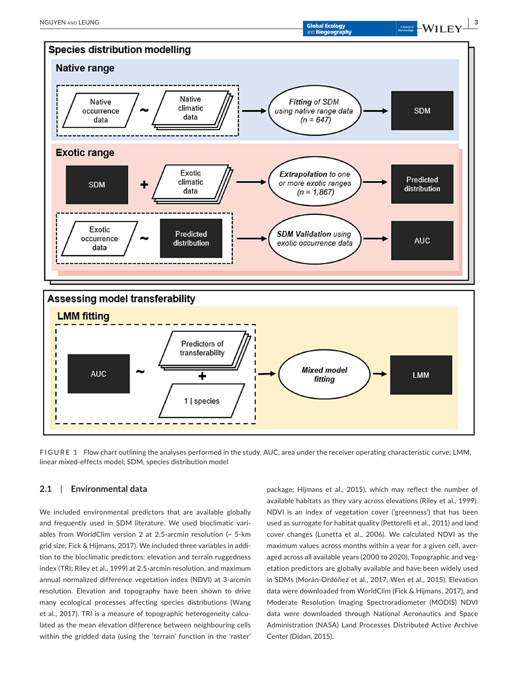

**FIGURE 1** Flow chart outlining the analyses performed in the study. AUC, area under the receiver operating characteristic curve; LMM, linear mixed-effects model; SDM, species distribution model

# **2.1**  | **Environmental data**

We included environmental predictors that are available globally and frequently used in SDM literature. We used bioclimatic variables from WorldClim version 2 at 2.5-arcmin resolution (~ 5-km grid size; Fick & Hijmans, 2017). We included three variables in addition to the bioclimatic predictors: elevation and terrain ruggedness index (TRI; Riley et al., 1999) at 2.5-arcmin resolution, and maximum annual normalized difference vegetation index (NDVI) at 3-arcmin resolution. Elevation and topography have been shown to drive many ecological processes affecting species distributions (Wang et al., 2017). TRI is a measure of topographic heterogeneity calculated as the mean elevation difference between neighbouring cells within the gridded data (using the 'terrain' function in the 'raster'

package; Hijmans et al., 2015), which may reflect the number of available habitats as they vary across elevations (Riley et al., 1999). NDVI is an index of vegetation cover ('greenness') that has been used as surrogate for habitat quality (Pettorelli et al., 2011) and land cover changes (Lunetta et al., 2006). We calculated NDVI as the maximum values across months within a year for a given cell, averaged across all available years (2000 to 2020). Topographic and vegetation predictors are globally available and have been widely used in SDMs (Morán-Ordóñez et al., 2017; Wen et al., 2015). Elevation data were downloaded from WorldClim (Fick & Hijmans, 2017), and Moderate Resolution Imaging Spectroradiometer (MODIS) NDVI data were downloaded through National Aeronautics and Space Administration (NASA) Land Processes Distributed Active Archive Center (Didan, 2015).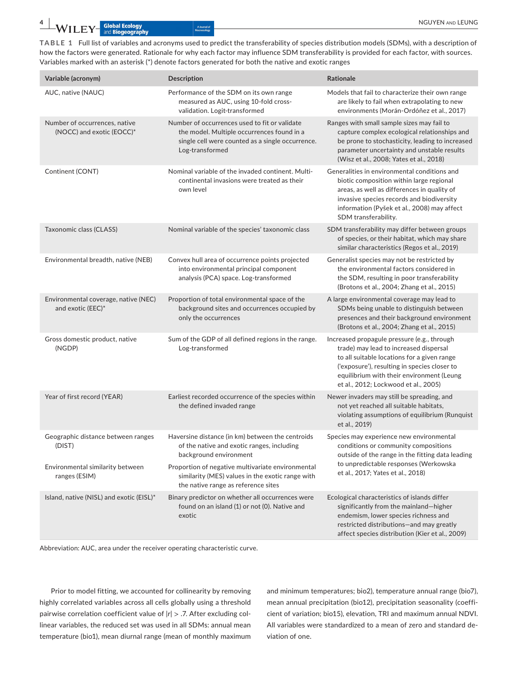**TABLE 1** Full list of variables and acronyms used to predict the transferability of species distribution models (SDMs), with a description of how the factors were generated. Rationale for why each factor may influence SDM transferability is provided for each factor, with sources. Variables marked with an asterisk (\*) denote factors generated for both the native and exotic ranges

| Variable (acronym)                                         | <b>Description</b>                                                                                                                                                 | Rationale                                                                                                                                                                                                                                                                 |
|------------------------------------------------------------|--------------------------------------------------------------------------------------------------------------------------------------------------------------------|---------------------------------------------------------------------------------------------------------------------------------------------------------------------------------------------------------------------------------------------------------------------------|
| AUC, native (NAUC)                                         | Performance of the SDM on its own range<br>measured as AUC, using 10-fold cross-<br>validation. Logit-transformed                                                  | Models that fail to characterize their own range<br>are likely to fail when extrapolating to new<br>environments (Morán-Ordóñez et al., 2017)                                                                                                                             |
| Number of occurrences, native<br>(NOCC) and exotic (EOCC)* | Number of occurrences used to fit or validate<br>the model. Multiple occurrences found in a<br>single cell were counted as a single occurrence.<br>Log-transformed | Ranges with small sample sizes may fail to<br>capture complex ecological relationships and<br>be prone to stochasticity, leading to increased<br>parameter uncertainty and unstable results<br>(Wisz et al., 2008; Yates et al., 2018)                                    |
| Continent (CONT)                                           | Nominal variable of the invaded continent. Multi-<br>continental invasions were treated as their<br>own level                                                      | Generalities in environmental conditions and<br>biotic composition within large regional<br>areas, as well as differences in quality of<br>invasive species records and biodiversity<br>information (Pyšek et al., 2008) may affect<br>SDM transferability.               |
| Taxonomic class (CLASS)                                    | Nominal variable of the species' taxonomic class                                                                                                                   | SDM transferability may differ between groups<br>of species, or their habitat, which may share<br>similar characteristics (Regos et al., 2019)                                                                                                                            |
| Environmental breadth, native (NEB)                        | Convex hull area of occurrence points projected<br>into environmental principal component<br>analysis (PCA) space. Log-transformed                                 | Generalist species may not be restricted by<br>the environmental factors considered in<br>the SDM, resulting in poor transferability<br>(Brotons et al., 2004; Zhang et al., 2015)                                                                                        |
| Environmental coverage, native (NEC)<br>and exotic (EEC)*  | Proportion of total environmental space of the<br>background sites and occurrences occupied by<br>only the occurrences                                             | A large environmental coverage may lead to<br>SDMs being unable to distinguish between<br>presences and their background environment<br>(Brotons et al., 2004; Zhang et al., 2015)                                                                                        |
| Gross domestic product, native<br>(NGDP)                   | Sum of the GDP of all defined regions in the range.<br>Log-transformed                                                                                             | Increased propagule pressure (e.g., through<br>trade) may lead to increased dispersal<br>to all suitable locations for a given range<br>('exposure'), resulting in species closer to<br>equilibrium with their environment (Leung<br>et al., 2012; Lockwood et al., 2005) |
| Year of first record (YEAR)                                | Earliest recorded occurrence of the species within<br>the defined invaded range                                                                                    | Newer invaders may still be spreading, and<br>not yet reached all suitable habitats,<br>violating assumptions of equilibrium (Runquist<br>et al., 2019)                                                                                                                   |
| Geographic distance between ranges<br>(DIST)               | Haversine distance (in km) between the centroids<br>of the native and exotic ranges, including<br>background environment                                           | Species may experience new environmental<br>conditions or community compositions<br>outside of the range in the fitting data leading                                                                                                                                      |
| Environmental similarity between<br>ranges (ESIM)          | Proportion of negative multivariate environmental<br>similarity (MES) values in the exotic range with<br>the native range as reference sites                       | to unpredictable responses (Werkowska<br>et al., 2017; Yates et al., 2018)                                                                                                                                                                                                |
| Island, native (NISL) and exotic (EISL)*                   | Binary predictor on whether all occurrences were<br>found on an island (1) or not (0). Native and<br>exotic                                                        | Ecological characteristics of islands differ<br>significantly from the mainland-higher<br>endemism, lower species richness and<br>restricted distributions-and may greatly<br>affect species distribution (Kier et al., 2009)                                             |

Abbreviation: AUC, area under the receiver operating characteristic curve.

Prior to model fitting, we accounted for collinearity by removing highly correlated variables across all cells globally using a threshold pairwise correlation coefficient value of |*r|* > .7. After excluding collinear variables, the reduced set was used in all SDMs: annual mean temperature (bio1), mean diurnal range (mean of monthly maximum

and minimum temperatures; bio2), temperature annual range (bio7), mean annual precipitation (bio12), precipitation seasonality (coefficient of variation; bio15), elevation, TRI and maximum annual NDVI. All variables were standardized to a mean of zero and standard deviation of one.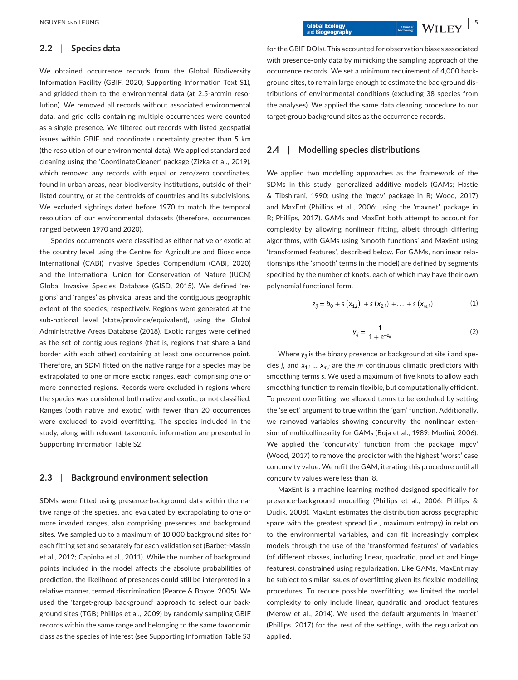# **2.2**  | **Species data**

We obtained occurrence records from the Global Biodiversity Information Facility (GBIF, 2020; Supporting Information Text S1), and gridded them to the environmental data (at 2.5-arcmin resolution). We removed all records without associated environmental data, and grid cells containing multiple occurrences were counted as a single presence. We filtered out records with listed geospatial issues within GBIF and coordinate uncertainty greater than 5 km (the resolution of our environmental data). We applied standardized cleaning using the 'CoordinateCleaner' package (Zizka et al., 2019), which removed any records with equal or zero/zero coordinates, found in urban areas, near biodiversity institutions, outside of their listed country, or at the centroids of countries and its subdivisions. We excluded sightings dated before 1970 to match the temporal resolution of our environmental datasets (therefore, occurrences ranged between 1970 and 2020).

Species occurrences were classified as either native or exotic at the country level using the Centre for Agriculture and Bioscience International (CABI) Invasive Species Compendium (CABI, 2020) and the International Union for Conservation of Nature (IUCN) Global Invasive Species Database (GISD, 2015). We defined 'regions' and 'ranges' as physical areas and the contiguous geographic extent of the species, respectively. Regions were generated at the sub-national level (state/province/equivalent), using the Global Administrative Areas Database (2018). Exotic ranges were defined as the set of contiguous regions (that is, regions that share a land border with each other) containing at least one occurrence point. Therefore, an SDM fitted on the native range for a species may be extrapolated to one or more exotic ranges, each comprising one or more connected regions. Records were excluded in regions where the species was considered both native and exotic, or not classified. Ranges (both native and exotic) with fewer than 20 occurrences were excluded to avoid overfitting. The species included in the study, along with relevant taxonomic information are presented in Supporting Information Table S2.

### **2.3**  | **Background environment selection**

SDMs were fitted using presence-background data within the native range of the species, and evaluated by extrapolating to one or more invaded ranges, also comprising presences and background sites. We sampled up to a maximum of 10,000 background sites for each fitting set and separately for each validation set (Barbet-Massin et al., 2012; Capinha et al., 2011). While the number of background points included in the model affects the absolute probabilities of prediction, the likelihood of presences could still be interpreted in a relative manner, termed discrimination (Pearce & Boyce, 2005). We used the 'target-group background' approach to select our background sites (TGB; Phillips et al., 2009) by randomly sampling GBIF records within the same range and belonging to the same taxonomic class as the species of interest (see Supporting Information Table S3

for the GBIF DOIs). This accounted for observation biases associated with presence-only data by mimicking the sampling approach of the occurrence records. We set a minimum requirement of 4,000 background sites, to remain large enough to estimate the background distributions of environmental conditions (excluding 38 species from the analyses). We applied the same data cleaning procedure to our target-group background sites as the occurrence records.

# **2.4**  | **Modelling species distributions**

We applied two modelling approaches as the framework of the SDMs in this study: generalized additive models (GAMs; Hastie & Tibshirani, 1990; using the 'mgcv' package in R; Wood, 2017) and MaxEnt (Phillips et al., 2006; using the 'maxnet' package in R; Phillips, 2017). GAMs and MaxEnt both attempt to account for complexity by allowing nonlinear fitting, albeit through differing algorithms, with GAMs using 'smooth functions' and MaxEnt using 'transformed features', described below. For GAMs, nonlinear relationships (the 'smooth' terms in the model) are defined by segments specified by the number of knots, each of which may have their own polynomial functional form.

$$
z_{ij} = b_0 + s(x_{1,i}) + s(x_{2,i}) + \dots + s(x_{m,i})
$$
 (1)

$$
y_{ij} = \frac{1}{1 + e^{-z_{ij}}} \tag{2}
$$

Where  $y_{ii}$  is the binary presence or background at site *i* and species *j*, and *x*1,*<sup>i</sup>* … *xm*,*<sup>i</sup>* are the *m* continuous climatic predictors with smoothing terms *s*. We used a maximum of five knots to allow each smoothing function to remain flexible, but computationally efficient. To prevent overfitting, we allowed terms to be excluded by setting the 'select' argument to true within the 'gam' function. Additionally, we removed variables showing concurvity, the nonlinear extension of multicollinearity for GAMs (Buja et al., 1989; Morlini, 2006). We applied the 'concurvity' function from the package 'mgcv' (Wood, 2017) to remove the predictor with the highest 'worst' case concurvity value. We refit the GAM, iterating this procedure until all concurvity values were less than .8.

MaxEnt is a machine learning method designed specifically for presence-background modelling (Phillips et al., 2006; Phillips & Dudík, 2008). MaxEnt estimates the distribution across geographic space with the greatest spread (i.e., maximum entropy) in relation to the environmental variables, and can fit increasingly complex models through the use of the 'transformed features' of variables (of different classes, including linear, quadratic, product and hinge features), constrained using regularization. Like GAMs, MaxEnt may be subject to similar issues of overfitting given its flexible modelling procedures. To reduce possible overfitting, we limited the model complexity to only include linear, quadratic and product features (Merow et al., 2014). We used the default arguments in 'maxnet' (Phillips, 2017) for the rest of the settings, with the regularization applied.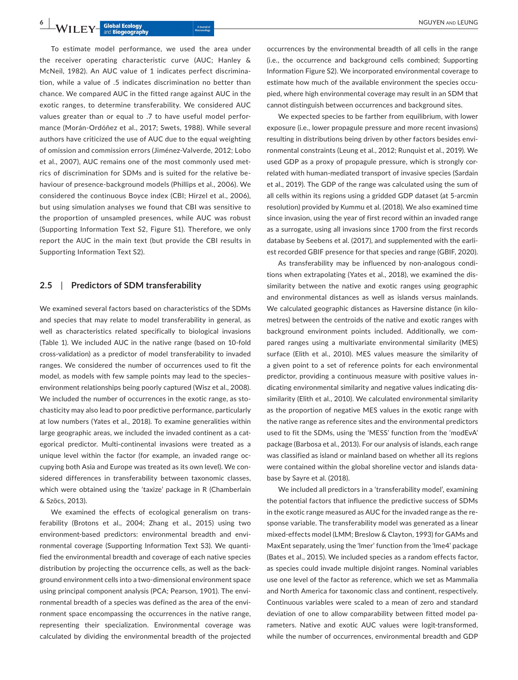**6**  $\bullet$  **WILEY** Global Ecology **Addustration CEUNG** 

To estimate model performance, we used the area under the receiver operating characteristic curve (AUC; Hanley & McNeil, 1982). An AUC value of 1 indicates perfect discrimination, while a value of .5 indicates discrimination no better than chance. We compared AUC in the fitted range against AUC in the exotic ranges, to determine transferability. We considered AUC values greater than or equal to .7 to have useful model performance (Morán-Ordóñez et al., 2017; Swets, 1988). While several authors have criticized the use of AUC due to the equal weighting of omission and commission errors (Jiménez-Valverde, 2012; Lobo et al., 2007), AUC remains one of the most commonly used metrics of discrimination for SDMs and is suited for the relative behaviour of presence-background models (Phillips et al., 2006). We considered the continuous Boyce index (CBI; Hirzel et al., 2006), but using simulation analyses we found that CBI was sensitive to the proportion of unsampled presences, while AUC was robust (Supporting Information Text S2, Figure S1). Therefore, we only report the AUC in the main text (but provide the CBI results in Supporting Information Text S2).

# **2.5**  | **Predictors of SDM transferability**

We examined several factors based on characteristics of the SDMs and species that may relate to model transferability in general, as well as characteristics related specifically to biological invasions (Table 1). We included AUC in the native range (based on 10-fold cross-validation) as a predictor of model transferability to invaded ranges. We considered the number of occurrences used to fit the model, as models with few sample points may lead to the species– environment relationships being poorly captured (Wisz et al., 2008). We included the number of occurrences in the exotic range, as stochasticity may also lead to poor predictive performance, particularly at low numbers (Yates et al., 2018). To examine generalities within large geographic areas, we included the invaded continent as a categorical predictor. Multi-continental invasions were treated as a unique level within the factor (for example, an invaded range occupying both Asia and Europe was treated as its own level). We considered differences in transferability between taxonomic classes, which were obtained using the 'taxize' package in R (Chamberlain & Szöcs, 2013).

We examined the effects of ecological generalism on transferability (Brotons et al., 2004; Zhang et al., 2015) using two environment-based predictors: environmental breadth and environmental coverage (Supporting Information Text S3). We quantified the environmental breadth and coverage of each native species distribution by projecting the occurrence cells, as well as the background environment cells into a two-dimensional environment space using principal component analysis (PCA; Pearson, 1901). The environmental breadth of a species was defined as the area of the environment space encompassing the occurrences in the native range, representing their specialization. Environmental coverage was calculated by dividing the environmental breadth of the projected

occurrences by the environmental breadth of all cells in the range (i.e., the occurrence and background cells combined; Supporting Information Figure S2). We incorporated environmental coverage to estimate how much of the available environment the species occupied, where high environmental coverage may result in an SDM that cannot distinguish between occurrences and background sites.

We expected species to be farther from equilibrium, with lower exposure (i.e., lower propagule pressure and more recent invasions) resulting in distributions being driven by other factors besides environmental constraints (Leung et al., 2012; Runquist et al., 2019). We used GDP as a proxy of propagule pressure, which is strongly correlated with human-mediated transport of invasive species (Sardain et al., 2019). The GDP of the range was calculated using the sum of all cells within its regions using a gridded GDP dataset (at 5-arcmin resolution) provided by Kummu et al. (2018). We also examined time since invasion, using the year of first record within an invaded range as a surrogate, using all invasions since 1700 from the first records database by Seebens et al. (2017), and supplemented with the earliest recorded GBIF presence for that species and range (GBIF, 2020).

As transferability may be influenced by non-analogous conditions when extrapolating (Yates et al., 2018), we examined the dissimilarity between the native and exotic ranges using geographic and environmental distances as well as islands versus mainlands. We calculated geographic distances as Haversine distance (in kilometres) between the centroids of the native and exotic ranges with background environment points included. Additionally, we compared ranges using a multivariate environmental similarity (MES) surface (Elith et al., 2010). MES values measure the similarity of a given point to a set of reference points for each environmental predictor, providing a continuous measure with positive values indicating environmental similarity and negative values indicating dissimilarity (Elith et al., 2010). We calculated environmental similarity as the proportion of negative MES values in the exotic range with the native range as reference sites and the environmental predictors used to fit the SDMs, using the 'MESS' function from the 'modEvA' package (Barbosa et al., 2013). For our analysis of islands, each range was classified as island or mainland based on whether all its regions were contained within the global shoreline vector and islands database by Sayre et al. (2018).

We included all predictors in a 'transferability model', examining the potential factors that influence the predictive success of SDMs in the exotic range measured as AUC for the invaded range as the response variable. The transferability model was generated as a linear mixed-effects model (LMM; Breslow & Clayton, 1993) for GAMs and MaxEnt separately, using the 'lmer' function from the 'lme4' package (Bates et al., 2015). We included species as a random effects factor, as species could invade multiple disjoint ranges. Nominal variables use one level of the factor as reference, which we set as Mammalia and North America for taxonomic class and continent, respectively. Continuous variables were scaled to a mean of zero and standard deviation of one to allow comparability between fitted model parameters. Native and exotic AUC values were logit-transformed, while the number of occurrences, environmental breadth and GDP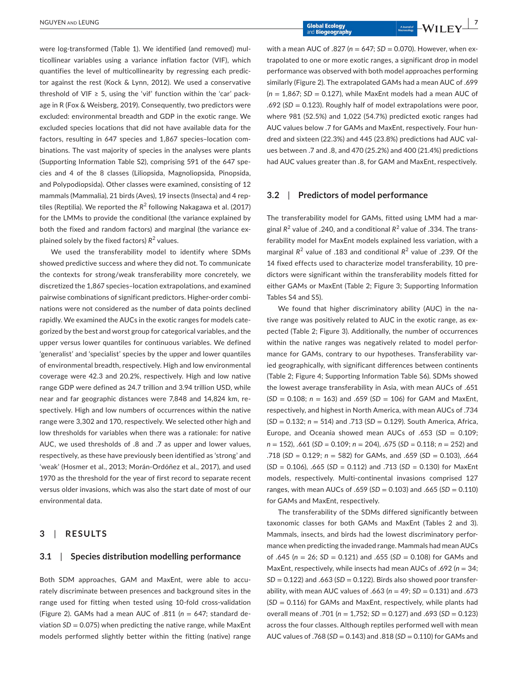were log-transformed (Table 1). We identified (and removed) multicollinear variables using a variance inflation factor (VIF), which quantifies the level of multicollinearity by regressing each predictor against the rest (Kock & Lynn, 2012). We used a conservative threshold of VIF  $\geq$  5, using the 'vif' function within the 'car' package in R (Fox & Weisberg, 2019). Consequently, two predictors were excluded: environmental breadth and GDP in the exotic range. We excluded species locations that did not have available data for the factors, resulting in 647 species and 1,867 species–location combinations. The vast majority of species in the analyses were plants (Supporting Information Table S2), comprising 591 of the 647 species and 4 of the 8 classes (Liliopsida, Magnoliopsida, Pinopsida, and Polypodiopsida). Other classes were examined, consisting of 12 mammals (Mammalia), 21 birds (Aves), 19 insects (Insecta) and 4 reptiles (Reptilia). We reported the R<sup>2</sup> following Nakagawa et al. (2017) for the LMMs to provide the conditional (the variance explained by both the fixed and random factors) and marginal (the variance explained solely by the fixed factors) *R*<sup>2</sup> values.

We used the transferability model to identify where SDMs showed predictive success and where they did not. To communicate the contexts for strong/weak transferability more concretely, we discretized the 1,867 species–location extrapolations, and examined pairwise combinations of significant predictors. Higher-order combinations were not considered as the number of data points declined rapidly. We examined the AUCs in the exotic ranges for models categorized by the best and worst group for categorical variables, and the upper versus lower quantiles for continuous variables. We defined 'generalist' and 'specialist' species by the upper and lower quantiles of environmental breadth, respectively. High and low environmental coverage were 42.3 and 20.2%, respectively. High and low native range GDP were defined as 24.7 trillion and 3.94 trillion USD, while near and far geographic distances were 7,848 and 14,824 km, respectively. High and low numbers of occurrences within the native range were 3,302 and 170, respectively. We selected other high and low thresholds for variables when there was a rationale: for native AUC, we used thresholds of .8 and .7 as upper and lower values, respectively, as these have previously been identified as 'strong' and 'weak' (Hosmer et al., 2013; Morán-Ordóñez et al., 2017), and used 1970 as the threshold for the year of first record to separate recent versus older invasions, which was also the start date of most of our environmental data.

### **3**  | **RESULTS**

# **3.1**  | **Species distribution modelling performance**

Both SDM approaches, GAM and MaxEnt, were able to accurately discriminate between presences and background sites in the range used for fitting when tested using 10-fold cross-validation (Figure 2). GAMs had a mean AUC of .811 (*n* = 647; standard deviation  $SD = 0.075$ ) when predicting the native range, while MaxEnt models performed slightly better within the fitting (native) range

with a mean AUC of .827 (*n* = 647; *SD* = 0.070). However, when extrapolated to one or more exotic ranges, a significant drop in model performance was observed with both model approaches performing similarly (Figure 2). The extrapolated GAMs had a mean AUC of .699 (*n* = 1,867; *SD* = 0.127), while MaxEnt models had a mean AUC of .692 (*SD* = 0.123). Roughly half of model extrapolations were poor, where 981 (52.5%) and 1,022 (54.7%) predicted exotic ranges had AUC values below .7 for GAMs and MaxEnt, respectively. Four hundred and sixteen (22.3%) and 445 (23.8%) predictions had AUC values between .7 and .8, and 470 (25.2%) and 400 (21.4%) predictions had AUC values greater than .8, for GAM and MaxEnt, respectively.

### **3.2**  | **Predictors of model performance**

The transferability model for GAMs, fitted using LMM had a marginal *R*<sup>2</sup> value of .240, and a conditional *R*<sup>2</sup> value of .334. The transferability model for MaxEnt models explained less variation, with a marginal R<sup>2</sup> value of .183 and conditional R<sup>2</sup> value of .239. Of the 14 fixed effects used to characterize model transferability, 10 predictors were significant within the transferability models fitted for either GAMs or MaxEnt (Table 2; Figure 3; Supporting Information Tables S4 and S5).

We found that higher discriminatory ability (AUC) in the native range was positively related to AUC in the exotic range, as expected (Table 2; Figure 3). Additionally, the number of occurrences within the native ranges was negatively related to model performance for GAMs, contrary to our hypotheses. Transferability varied geographically, with significant differences between continents (Table 2; Figure 4; Supporting Information Table S6). SDMs showed the lowest average transferability in Asia, with mean AUCs of .651 (*SD* = 0.108; *n* = 163) and .659 (*SD* = 106) for GAM and MaxEnt, respectively, and highest in North America, with mean AUCs of .734 (*SD* = 0.132; *n* = 514) and .713 (*SD* = 0.129). South America, Africa, Europe, and Oceania showed mean AUCs of .653 (SD = 0.109; *n* = 152), .661 (*SD =* 0.109; *n* = 204), .675 (*SD =* 0.118; *n* = 252) and .718 (*SD =* 0.129; *n* = 582) for GAMs, and .659 (*SD* = 0.103), .664 (*SD =* 0.106), .665 (*SD =* 0.112) and .713 (*SD =* 0.130) for MaxEnt models, respectively. Multi-continental invasions comprised 127 ranges, with mean AUCs of .659 (*SD* = 0.103) and .665 (*SD* = 0.110) for GAMs and MaxEnt, respectively.

The transferability of the SDMs differed significantly between taxonomic classes for both GAMs and MaxEnt (Tables 2 and 3). Mammals, insects, and birds had the lowest discriminatory performance when predicting the invaded range. Mammals had mean AUCs of .645 (*n* = 26; *SD* = 0.121) and .655 (*SD* = 0.108) for GAMs and MaxEnt, respectively, while insects had mean AUCs of .692 (n = 34; *SD* = 0.122) and .663 (*SD* = 0.122). Birds also showed poor transferability, with mean AUC values of .663 (*n* = 49; *SD* = 0.131) and .673 (*SD* = 0.116) for GAMs and MaxEnt, respectively, while plants had overall means of .701 (*n* = 1,752; *SD* = 0.127) and .693 (*SD* = 0.123) across the four classes. Although reptiles performed well with mean AUC values of .768 (*SD* = 0.143) and .818 (*SD* = 0.110) for GAMs and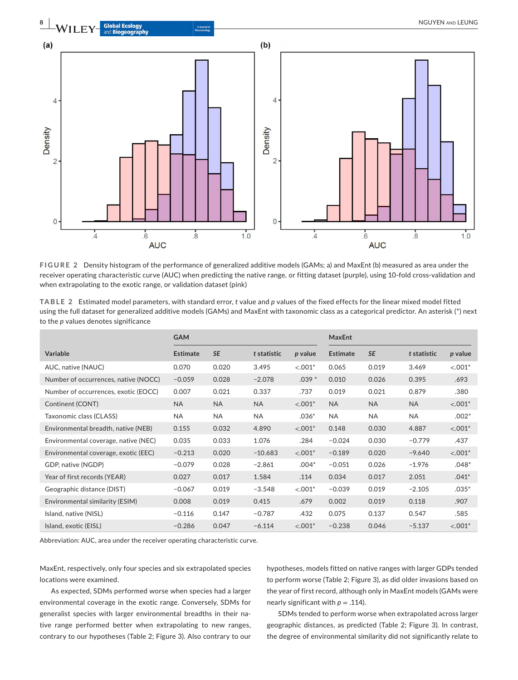

**FIGURE 2** Density histogram of the performance of generalized additive models (GAMs; a) and MaxEnt (b) measured as area under the receiver operating characteristic curve (AUC) when predicting the native range, or fitting dataset (purple), using 10-fold cross-validation and when extrapolating to the exotic range, or validation dataset (pink)

**TABLE 2** Estimated model parameters, with standard error, *t* value and *p* values of the fixed effects for the linear mixed model fitted using the full dataset for generalized additive models (GAMs) and MaxEnt with taxonomic class as a categorical predictor. An asterisk (\*) next to the *p* values denotes significance

|                                      | <b>GAM</b>      |           |             |           | <b>MaxEnt</b>   |           |             |           |  |
|--------------------------------------|-----------------|-----------|-------------|-----------|-----------------|-----------|-------------|-----------|--|
| <b>Variable</b>                      | <b>Estimate</b> | <b>SE</b> | t statistic | p value   | <b>Estimate</b> | <b>SE</b> | t statistic | p value   |  |
| AUC, native (NAUC)                   | 0.070           | 0.020     | 3.495       | $< .001*$ | 0.065           | 0.019     | 3.469       | $< .001*$ |  |
| Number of occurrences, native (NOCC) | $-0.059$        | 0.028     | $-2.078$    | $.039*$   | 0.010           | 0.026     | 0.395       | .693      |  |
| Number of occurrences, exotic (EOCC) | 0.007           | 0.021     | 0.337       | .737      | 0.019           | 0.021     | 0.879       | .380      |  |
| Continent (CONT)                     | <b>NA</b>       | <b>NA</b> | <b>NA</b>   | $< .001*$ | <b>NA</b>       | <b>NA</b> | <b>NA</b>   | $< .001*$ |  |
| Taxonomic class (CLASS)              | <b>NA</b>       | <b>NA</b> | NA          | $.036*$   | <b>NA</b>       | <b>NA</b> | <b>NA</b>   | $.002*$   |  |
| Environmental breadth, native (NEB)  | 0.155           | 0.032     | 4.890       | $< .001*$ | 0.148           | 0.030     | 4.887       | $< .001*$ |  |
| Environmental coverage, native (NEC) | 0.035           | 0.033     | 1.076       | .284      | $-0.024$        | 0.030     | $-0.779$    | .437      |  |
| Environmental coverage, exotic (EEC) | $-0.213$        | 0.020     | $-10.683$   | $< .001*$ | $-0.189$        | 0.020     | $-9.640$    | $< .001*$ |  |
| GDP, native (NGDP)                   | $-0.079$        | 0.028     | $-2.861$    | $.004*$   | $-0.051$        | 0.026     | $-1.976$    | $.048*$   |  |
| Year of first records (YEAR)         | 0.027           | 0.017     | 1.584       | .114      | 0.034           | 0.017     | 2.051       | $.041*$   |  |
| Geographic distance (DIST)           | $-0.067$        | 0.019     | $-3.548$    | $< .001*$ | $-0.039$        | 0.019     | $-2.105$    | $.035*$   |  |
| Environmental similarity (ESIM)      | 0.008           | 0.019     | 0.415       | .679      | 0.002           | 0.019     | 0.118       | .907      |  |
| Island, native (NISL)                | $-0.116$        | 0.147     | $-0.787$    | .432      | 0.075           | 0.137     | 0.547       | .585      |  |
| Island, exotic (EISL)                | $-0.286$        | 0.047     | $-6.114$    | $< .001*$ | $-0.238$        | 0.046     | $-5.137$    | $< .001*$ |  |

Abbreviation: AUC, area under the receiver operating characteristic curve.

MaxEnt, respectively, only four species and six extrapolated species locations were examined.

As expected, SDMs performed worse when species had a larger environmental coverage in the exotic range. Conversely, SDMs for generalist species with larger environmental breadths in their native range performed better when extrapolating to new ranges, contrary to our hypotheses (Table 2; Figure 3). Also contrary to our hypotheses, models fitted on native ranges with larger GDPs tended to perform worse (Table 2; Figure 3), as did older invasions based on the year of first record, although only in MaxEnt models (GAMs were nearly significant with *p* = .114).

SDMs tended to perform worse when extrapolated across larger geographic distances, as predicted (Table 2; Figure 3). In contrast, the degree of environmental similarity did not significantly relate to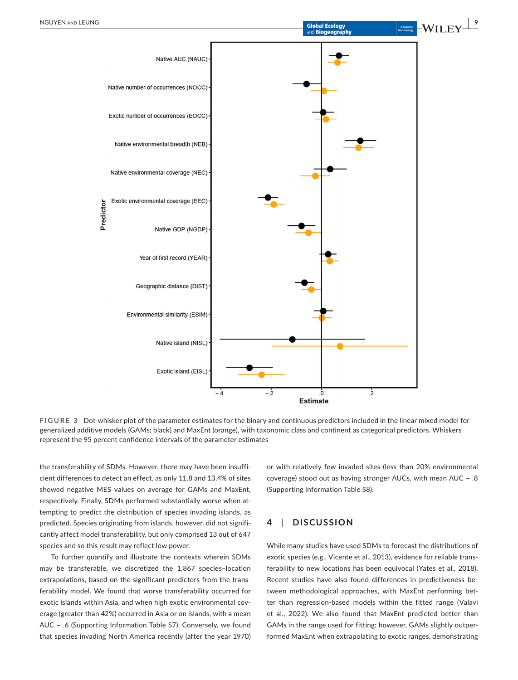

**FIGURE 3** Dot-whisker plot of the parameter estimates for the binary and continuous predictors included in the linear mixed model for generalized additive models (GAMs; black) and MaxEnt (orange), with taxonomic class and continent as categorical predictors. Whiskers represent the 95 percent confidence intervals of the parameter estimates

 $-2$ 

 $-4$ 

the transferability of SDMs. However, there may have been insufficient differences to detect an effect, as only 11.8 and 13.4% of sites showed negative MES values on average for GAMs and MaxEnt, respectively. Finally, SDMs performed substantially worse when attempting to predict the distribution of species invading islands, as predicted. Species originating from islands, however, did not significantly affect model transferability, but only comprised 13 out of 647 species and so this result may reflect low power.

To further quantify and illustrate the contexts wherein SDMs may be transferable, we discretized the 1,867 species–location extrapolations, based on the significant predictors from the transferability model. We found that worse transferability occurred for exotic islands within Asia, and when high exotic environmental coverage (greater than 42%) occurred in Asia or on islands, with a mean AUC ~ .6 (Supporting Information Table S7). Conversely, we found that species invading North America recently (after the year 1970)

or with relatively few invaded sites (less than 20% environmental coverage) stood out as having stronger AUCs, with mean AUC  $\sim$  .8 (Supporting Information Table S8).

 $\frac{1}{2}$ 

# **4**  | **DISCUSSION**

.o Estimate

While many studies have used SDMs to forecast the distributions of exotic species (e.g., Vicente et al., 2013), evidence for reliable transferability to new locations has been equivocal (Yates et al., 2018). Recent studies have also found differences in predictiveness between methodological approaches, with MaxEnt performing better than regression-based models within the fitted range (Valavi et al., 2022). We also found that MaxEnt predicted better than GAMs in the range used for fitting; however, GAMs slightly outperformed MaxEnt when extrapolating to exotic ranges, demonstrating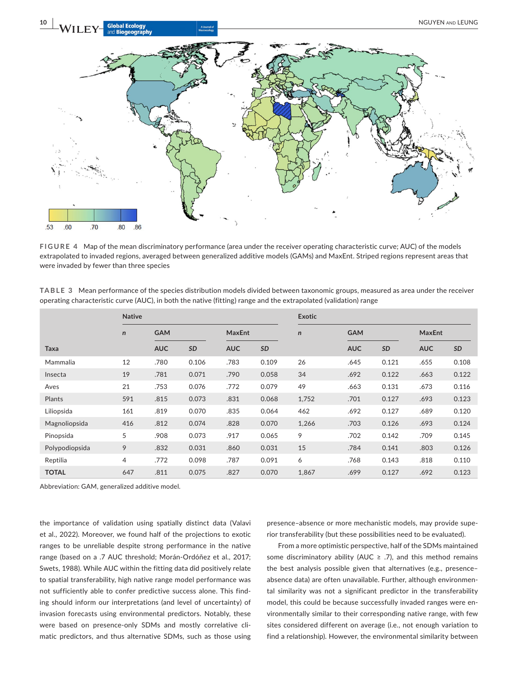

**FIGURE 4** Map of the mean discriminatory performance (area under the receiver operating characteristic curve; AUC) of the models extrapolated to invaded regions, averaged between generalized additive models (GAMs) and MaxEnt. Striped regions represent areas that were invaded by fewer than three species

| TABLE 3 Mean performance of the species distribution models divided between taxonomic groups, measured as area under the receiver |  |
|-----------------------------------------------------------------------------------------------------------------------------------|--|
| operating characteristic curve (AUC), in both the native (fitting) range and the extrapolated (validation) range                  |  |

|                | <b>Native</b> |            |       |               |       | <b>Exotic</b> |            |       |               |       |
|----------------|---------------|------------|-------|---------------|-------|---------------|------------|-------|---------------|-------|
|                | $\mathsf{n}$  | <b>GAM</b> |       | <b>MaxEnt</b> |       | $\mathsf{n}$  | <b>GAM</b> |       | <b>MaxEnt</b> |       |
| Taxa           |               | <b>AUC</b> | SD    | <b>AUC</b>    | SD    |               | <b>AUC</b> | SD    | <b>AUC</b>    | SD    |
| Mammalia       | 12            | .780       | 0.106 | .783          | 0.109 | 26            | .645       | 0.121 | .655          | 0.108 |
| Insecta        | 19            | .781       | 0.071 | .790          | 0.058 | 34            | .692       | 0.122 | .663          | 0.122 |
| Aves           | 21            | .753       | 0.076 | .772          | 0.079 | 49            | .663       | 0.131 | .673          | 0.116 |
| Plants         | 591           | .815       | 0.073 | .831          | 0.068 | 1,752         | .701       | 0.127 | .693          | 0.123 |
| Liliopsida     | 161           | .819       | 0.070 | .835          | 0.064 | 462           | .692       | 0.127 | .689          | 0.120 |
| Magnoliopsida  | 416           | .812       | 0.074 | .828          | 0.070 | 1,266         | .703       | 0.126 | .693          | 0.124 |
| Pinopsida      | 5             | .908       | 0.073 | .917          | 0.065 | 9             | .702       | 0.142 | .709          | 0.145 |
| Polypodiopsida | 9             | .832       | 0.031 | .860          | 0.031 | 15            | .784       | 0.141 | .803          | 0.126 |
| Reptilia       | 4             | .772       | 0.098 | .787          | 0.091 | 6             | .768       | 0.143 | .818          | 0.110 |
| <b>TOTAL</b>   | 647           | .811       | 0.075 | .827          | 0.070 | 1,867         | .699       | 0.127 | .692          | 0.123 |

Abbreviation: GAM, generalized additive model.

the importance of validation using spatially distinct data (Valavi et al., 2022). Moreover, we found half of the projections to exotic ranges to be unreliable despite strong performance in the native range (based on a .7 AUC threshold; Morán-Ordóñez et al., 2017; Swets, 1988). While AUC within the fitting data did positively relate to spatial transferability, high native range model performance was not sufficiently able to confer predictive success alone. This finding should inform our interpretations (and level of uncertainty) of invasion forecasts using environmental predictors. Notably, these were based on presence-only SDMs and mostly correlative climatic predictors, and thus alternative SDMs, such as those using

presence–absence or more mechanistic models, may provide superior transferability (but these possibilities need to be evaluated).

From a more optimistic perspective, half of the SDMs maintained some discriminatory ability (AUC  $\geq$  .7), and this method remains the best analysis possible given that alternatives (e.g., presence– absence data) are often unavailable. Further, although environmental similarity was not a significant predictor in the transferability model, this could be because successfully invaded ranges were environmentally similar to their corresponding native range, with few sites considered different on average (i.e., not enough variation to find a relationship). However, the environmental similarity between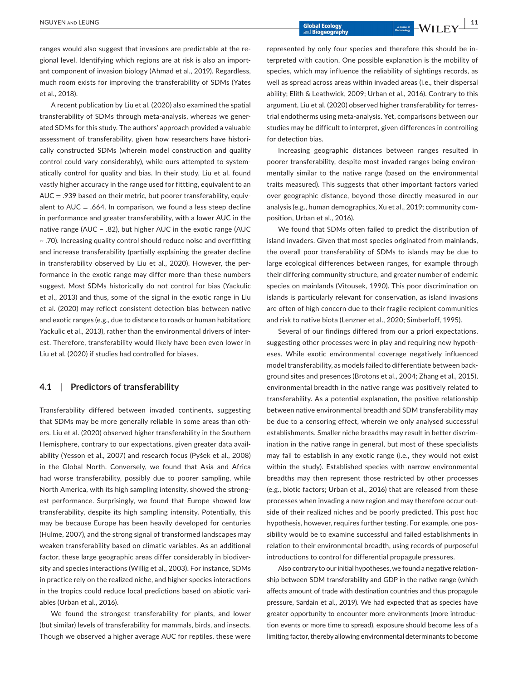ranges would also suggest that invasions are predictable at the regional level. Identifying which regions are at risk is also an important component of invasion biology (Ahmad et al., 2019). Regardless, much room exists for improving the transferability of SDMs (Yates et al., 2018).

A recent publication by Liu et al. (2020) also examined the spatial transferability of SDMs through meta-analysis, whereas we generated SDMs for this study. The authors' approach provided a valuable assessment of transferability, given how researchers have historically constructed SDMs (wherein model construction and quality control could vary considerably), while ours attempted to systematically control for quality and bias. In their study, Liu et al. found vastly higher accuracy in the range used for fittting, equivalent to an AUC = .939 based on their metric, but poorer transferability, equivalent to  $AUC = .664$ . In comparison, we found a less steep decline in performance and greater transferability, with a lower AUC in the native range (AUC ~ .82), but higher AUC in the exotic range (AUC ~ .70). Increasing quality control should reduce noise and overfitting and increase transferability (partially explaining the greater decline in transferability observed by Liu et al., 2020). However, the performance in the exotic range may differ more than these numbers suggest. Most SDMs historically do not control for bias (Yackulic et al., 2013) and thus, some of the signal in the exotic range in Liu et al. (2020) may reflect consistent detection bias between native and exotic ranges (e.g., due to distance to roads or human habitation; Yackulic et al., 2013), rather than the environmental drivers of interest. Therefore, transferability would likely have been even lower in Liu et al. (2020) if studies had controlled for biases.

# **4.1**  | **Predictors of transferability**

Transferability differed between invaded continents, suggesting that SDMs may be more generally reliable in some areas than others. Liu et al. (2020) observed higher transferability in the Southern Hemisphere, contrary to our expectations, given greater data availability (Yesson et al., 2007) and research focus (Pyšek et al., 2008) in the Global North. Conversely, we found that Asia and Africa had worse transferability, possibly due to poorer sampling, while North America, with its high sampling intensity, showed the strongest performance. Surprisingly, we found that Europe showed low transferability, despite its high sampling intensity. Potentially, this may be because Europe has been heavily developed for centuries (Hulme, 2007), and the strong signal of transformed landscapes may weaken transferability based on climatic variables. As an additional factor, these large geographic areas differ considerably in biodiversity and species interactions (Willig et al., 2003). For instance, SDMs in practice rely on the realized niche, and higher species interactions in the tropics could reduce local predictions based on abiotic variables (Urban et al., 2016).

We found the strongest transferability for plants, and lower (but similar) levels of transferability for mammals, birds, and insects. Though we observed a higher average AUC for reptiles, these were represented by only four species and therefore this should be interpreted with caution. One possible explanation is the mobility of species, which may influence the reliability of sightings records, as well as spread across areas within invaded areas (i.e., their dispersal ability; Elith & Leathwick, 2009; Urban et al., 2016). Contrary to this argument, Liu et al. (2020) observed higher transferability for terrestrial endotherms using meta-analysis. Yet, comparisons between our studies may be difficult to interpret, given differences in controlling for detection bias.

Increasing geographic distances between ranges resulted in poorer transferability, despite most invaded ranges being environmentally similar to the native range (based on the environmental traits measured). This suggests that other important factors varied over geographic distance, beyond those directly measured in our analysis (e.g., human demographics, Xu et al., 2019; community composition, Urban et al., 2016).

We found that SDMs often failed to predict the distribution of island invaders. Given that most species originated from mainlands, the overall poor transferability of SDMs to islands may be due to large ecological differences between ranges, for example through their differing community structure, and greater number of endemic species on mainlands (Vitousek, 1990). This poor discrimination on islands is particularly relevant for conservation, as island invasions are often of high concern due to their fragile recipient communities and risk to native biota (Lenzner et al., 2020; Simberloff, 1995).

Several of our findings differed from our a priori expectations, suggesting other processes were in play and requiring new hypotheses. While exotic environmental coverage negatively influenced model transferability, as models failed to differentiate between background sites and presences (Brotons et al., 2004; Zhang et al., 2015), environmental breadth in the native range was positively related to transferability. As a potential explanation, the positive relationship between native environmental breadth and SDM transferability may be due to a censoring effect, wherein we only analysed successful establishments. Smaller niche breadths may result in better discrimination in the native range in general, but most of these specialists may fail to establish in any exotic range (i.e., they would not exist within the study). Established species with narrow environmental breadths may then represent those restricted by other processes (e.g., biotic factors; Urban et al., 2016) that are released from these processes when invading a new region and may therefore occur outside of their realized niches and be poorly predicted. This post hoc hypothesis, however, requires further testing. For example, one possibility would be to examine successful and failed establishments in relation to their environmental breadth, using records of purposeful introductions to control for differential propagule pressures.

Also contrary to our initial hypotheses, we found a negative relationship between SDM transferability and GDP in the native range (which affects amount of trade with destination countries and thus propagule pressure, Sardain et al., 2019). We had expected that as species have greater opportunity to encounter more environments (more introduction events or more time to spread), exposure should become less of a limiting factor, thereby allowing environmental determinants to become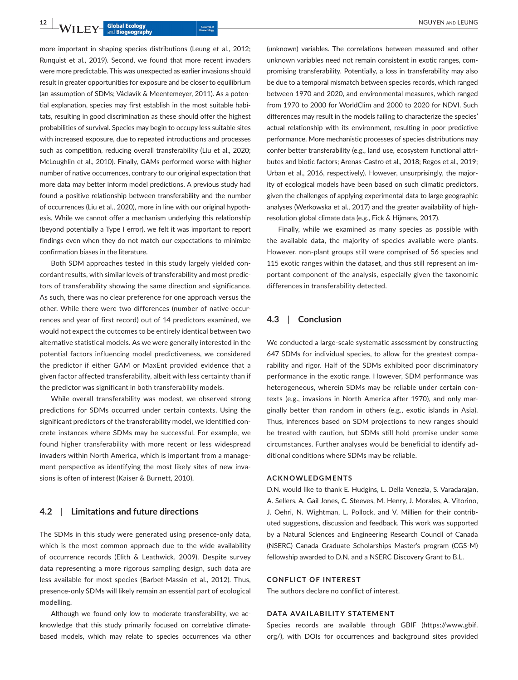more important in shaping species distributions (Leung et al., 2012; Runquist et al., 2019). Second, we found that more recent invaders were more predictable. This was unexpected as earlier invasions should result in greater opportunities for exposure and be closer to equilibrium (an assumption of SDMs; Václavík & Meentemeyer, 2011). As a potential explanation, species may first establish in the most suitable habitats, resulting in good discrimination as these should offer the highest probabilities of survival. Species may begin to occupy less suitable sites with increased exposure, due to repeated introductions and processes such as competition, reducing overall transferability (Liu et al., 2020; McLoughlin et al., 2010). Finally, GAMs performed worse with higher number of native occurrences, contrary to our original expectation that more data may better inform model predictions. A previous study had found a positive relationship between transferability and the number of occurrences (Liu et al., 2020), more in line with our original hypothesis. While we cannot offer a mechanism underlying this relationship (beyond potentially a Type I error), we felt it was important to report findings even when they do not match our expectations to minimize confirmation biases in the literature.

Both SDM approaches tested in this study largely yielded concordant results, with similar levels of transferability and most predictors of transferability showing the same direction and significance. As such, there was no clear preference for one approach versus the other. While there were two differences (number of native occurrences and year of first record) out of 14 predictors examined, we would not expect the outcomes to be entirely identical between two alternative statistical models. As we were generally interested in the potential factors influencing model predictiveness, we considered the predictor if either GAM or MaxEnt provided evidence that a given factor affected transferability, albeit with less certainty than if the predictor was significant in both transferability models.

While overall transferability was modest, we observed strong predictions for SDMs occurred under certain contexts. Using the significant predictors of the transferability model, we identified concrete instances where SDMs may be successful. For example, we found higher transferability with more recent or less widespread invaders within North America, which is important from a management perspective as identifying the most likely sites of new invasions is often of interest (Kaiser & Burnett, 2010).

# **4.2**  | **Limitations and future directions**

The SDMs in this study were generated using presence-only data, which is the most common approach due to the wide availability of occurrence records (Elith & Leathwick, 2009). Despite survey data representing a more rigorous sampling design, such data are less available for most species (Barbet-Massin et al., 2012). Thus, presence-only SDMs will likely remain an essential part of ecological modelling.

Although we found only low to moderate transferability, we acknowledge that this study primarily focused on correlative climatebased models, which may relate to species occurrences via other

(unknown) variables. The correlations between measured and other unknown variables need not remain consistent in exotic ranges, compromising transferability. Potentially, a loss in transferability may also be due to a temporal mismatch between species records, which ranged between 1970 and 2020, and environmental measures, which ranged from 1970 to 2000 for WorldClim and 2000 to 2020 for NDVI. Such differences may result in the models failing to characterize the species' actual relationship with its environment, resulting in poor predictive performance. More mechanistic processes of species distributions may confer better transferability (e.g., land use, ecosystem functional attributes and biotic factors; Arenas-Castro et al., 2018; Regos et al., 2019; Urban et al., 2016, respectively). However, unsurprisingly, the majority of ecological models have been based on such climatic predictors, given the challenges of applying experimental data to large geographic analyses (Werkowska et al., 2017) and the greater availability of highresolution global climate data (e.g., Fick & Hijmans, 2017).

Finally, while we examined as many species as possible with the available data, the majority of species available were plants. However, non-plant groups still were comprised of 56 species and 115 exotic ranges within the dataset, and thus still represent an important component of the analysis, especially given the taxonomic differences in transferability detected.

# **4.3**  | **Conclusion**

We conducted a large-scale systematic assessment by constructing 647 SDMs for individual species, to allow for the greatest comparability and rigor. Half of the SDMs exhibited poor discriminatory performance in the exotic range. However, SDM performance was heterogeneous, wherein SDMs may be reliable under certain contexts (e.g., invasions in North America after 1970), and only marginally better than random in others (e.g., exotic islands in Asia). Thus, inferences based on SDM projections to new ranges should be treated with caution, but SDMs still hold promise under some circumstances. Further analyses would be beneficial to identify additional conditions where SDMs may be reliable.

#### **ACKNOWLEDGMENTS**

D.N. would like to thank E. Hudgins, L. Della Venezia, S. Varadarajan, A. Sellers, A. Gail Jones, C. Steeves, M. Henry, J. Morales, A. Vitorino, J. Oehri, N. Wightman, L. Pollock, and V. Millien for their contributed suggestions, discussion and feedback. This work was supported by a Natural Sciences and Engineering Research Council of Canada (NSERC) Canada Graduate Scholarships Master's program (CGS-M) fellowship awarded to D.N. and a NSERC Discovery Grant to B.L.

#### **CONFLICT OF INTEREST**

The authors declare no conflict of interest.

#### **DATA AVAILABILITY STATEMENT**

Species records are available through GBIF ([https://www.gbif.](https://www.gbif.org/) [org/](https://www.gbif.org/)), with DOIs for occurrences and background sites provided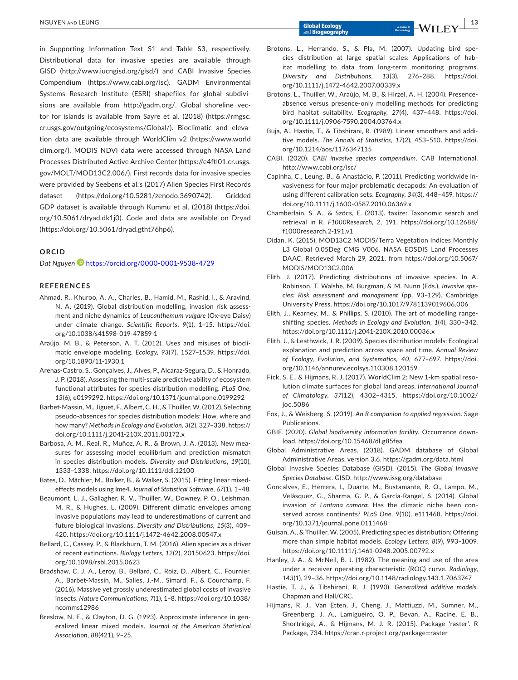in Supporting Information Text S1 and Table S3, respectively. Distributional data for invasive species are available through GISD [\(http://www.iucngisd.org/gisd/\)](http://www.iucngisd.org/gisd/) and CABI Invasive Species Compendium [\(https://www.cabi.org/isc](https://www.cabi.org/isc)). GADM Environmental Systems Research Institute (ESRI) shapefiles for global subdivisions are available from <http://gadm.org/>. Global shoreline vector for islands is available from Sayre et al. (2018) ([https://rmgsc.](https://rmgsc.cr.usgs.gov/outgoing/ecosystems/Global/) [cr.usgs.gov/outgoing/ecosystems/Global/](https://rmgsc.cr.usgs.gov/outgoing/ecosystems/Global/)). Bioclimatic and elevation data are available through WorldClim v2 ([https://www.world](https://www.worldclim.org/) [clim.org/\)](https://www.worldclim.org/). MODIS NDVI data were accessed through NASA Land Processes Distributed Active Archive Center ([https://e4ftl01.cr.usgs.](https://e4ftl01.cr.usgs.gov/MOLT/MOD13C2.006/) [gov/MOLT/MOD13C2.006/](https://e4ftl01.cr.usgs.gov/MOLT/MOD13C2.006/)). First records data for invasive species were provided by Seebens et al.'s (2017) Alien Species First Records dataset ([https://doi.org/10.5281/zenodo.3690742\)](https://doi.org/10.5281/zenodo.3690742). Gridded GDP dataset is available through Kummu et al. (2018) [\(https://doi.](https://doi.org/10.5061/dryad.dk1j0) [org/10.5061/dryad.dk1j0](https://doi.org/10.5061/dryad.dk1j0)). Code and data are available on Dryad ([https://doi.org/10.5061/dryad.gtht76hp6\)](https://doi.org/10.5061/dryad.gtht76hp6).

#### **ORCID**

*Dat Nguye[n](https://orcid.org/0000-0001-9538-4729)* <https://orcid.org/0000-0001-9538-4729>

#### **REFERENCES**

- Ahmad, R., Khuroo, A. A., Charles, B., Hamid, M., Rashid, I., & Aravind, N. A. (2019). Global distribution modelling, invasion risk assessment and niche dynamics of *Leucanthemum vulgare* (Ox-eye Daisy) under climate change. *Scientific Reports*, *9*(1), 1–15. [https://doi.](https://doi.org/10.1038/s41598-019-47859-1) [org/10.1038/s41598-019-47859-1](https://doi.org/10.1038/s41598-019-47859-1)
- Araújo, M. B., & Peterson, A. T. (2012). Uses and misuses of bioclimatic envelope modeling. *Ecology*, *93*(7), 1527–1539. [https://doi.](https://doi.org/10.1890/11-1930.1) [org/10.1890/11-1930.1](https://doi.org/10.1890/11-1930.1)
- Arenas-Castro, S., Gonçalves, J., Alves, P., Alcaraz-Segura, D., & Honrado, J. P. (2018). Assessing the multi-scale predictive ability of ecosystem functional attributes for species distribution modelling. *PLoS One*, *13*(6), e0199292. <https://doi.org/10.1371/journal.pone.0199292>
- Barbet-Massin, M., Jiguet, F., Albert, C. H., & Thuiller, W. (2012). Selecting pseudo-absences for species distribution models: How, where and how many? *Methods in Ecology and Evolution*, *3*(2), 327–338. [https://](https://doi.org/10.1111/j.2041-210X.2011.00172.x) [doi.org/10.1111/j.2041-210X.2011.00172.x](https://doi.org/10.1111/j.2041-210X.2011.00172.x)
- Barbosa, A. M., Real, R., Muñoz, A. R., & Brown, J. A. (2013). New measures for assessing model equilibrium and prediction mismatch in species distribution models. *Diversity and Distributions*, *19*(10), 1333–1338.<https://doi.org/10.1111/ddi.12100>
- Bates, D., Mächler, M., Bolker, B., & Walker, S. (2015). Fitting linear mixedeffects models using lme4. *Journal of Statistical Software*, *67*(1), 1–48.
- Beaumont, L. J., Gallagher, R. V., Thuiller, W., Downey, P. O., Leishman, M. R., & Hughes, L. (2009). Different climatic envelopes among invasive populations may lead to underestimations of current and future biological invasions. *Diversity and Distributions*, *15*(3), 409– 420. <https://doi.org/10.1111/j.1472-4642.2008.00547.x>
- Bellard, C., Cassey, P., & Blackburn, T. M. (2016). Alien species as a driver of recent extinctions. *Biology Letters*, *12*(2), 20150623. [https://doi.](https://doi.org/10.1098/rsbl.2015.0623) [org/10.1098/rsbl.2015.0623](https://doi.org/10.1098/rsbl.2015.0623)
- Bradshaw, C. J. A., Leroy, B., Bellard, C., Roiz, D., Albert, C., Fournier, A., Barbet-Massin, M., Salles, J.-M., Simard, F., & Courchamp, F. (2016). Massive yet grossly underestimated global costs of invasive insects. *Nature Communications*, *7*(1), 1–8. [https://doi.org/10.1038/](https://doi.org/10.1038/ncomms12986) [ncomms12986](https://doi.org/10.1038/ncomms12986)
- Breslow, N. E., & Clayton, D. G. (1993). Approximate inference in generalized linear mixed models. *Journal of the American Statistical Association*, *88*(421), 9–25.

and **Biogeography** 

- Brotons, L., Herrando, S., & Pla, M. (2007). Updating bird species distribution at large spatial scales: Applications of habitat modelling to data from long-term monitoring programs. *Diversity and Distributions*, *13*(3), 276–288. [https://doi.](https://doi.org/10.1111/j.1472-4642.2007.00339.x) [org/10.1111/j.1472-4642.2007.00339.x](https://doi.org/10.1111/j.1472-4642.2007.00339.x)
- Brotons, L., Thuiller, W., Araújo, M. B., & Hirzel, A. H. (2004). Presenceabsence versus presence-only modelling methods for predicting bird habitat suitability. *Ecography*, *27*(4), 437–448. [https://doi.](https://doi.org/10.1111/j.0906-7590.2004.03764.x) [org/10.1111/j.0906-7590.2004.03764.x](https://doi.org/10.1111/j.0906-7590.2004.03764.x)
- Buja, A., Hastie, T., & Tibshirani, R. (1989). Linear smoothers and additive models. *The Annals of Statistics*, *17*(2), 453–510. [https://doi.](https://doi.org/10.1214/aos/1176347115) [org/10.1214/aos/1176347115](https://doi.org/10.1214/aos/1176347115)
- CABI. (2020). *CABI invasive species compendium*. CAB International. <http://www.cabi.org/isc/>
- Capinha, C., Leung, B., & Anastácio, P. (2011). Predicting worldwide invasiveness for four major problematic decapods: An evaluation of using different calibration sets. *Ecography*, *34*(3), 448–459. [https://](https://doi.org/10.1111/j.1600-0587.2010.06369.x) [doi.org/10.1111/j.1600-0587.2010.06369.x](https://doi.org/10.1111/j.1600-0587.2010.06369.x)
- Chamberlain, S. A., & Szöcs, E. (2013). taxize: Taxonomic search and retrieval in R. *F1000Research*, *2*, 191. [https://doi.org/10.12688/](https://doi.org/10.12688/f1000research.2-191.v1) [f1000research.2-191.v1](https://doi.org/10.12688/f1000research.2-191.v1)
- Didan, K. (2015). MOD13C2 MODIS/Terra Vegetation Indices Monthly L3 Global 0.05Deg CMG V006. NASA EOSDIS Land Processes DAAC. Retrieved March 29, 2021, from [https://doi.org/10.5067/](https://doi.org/10.5067/MODIS/MOD13C2.006) [MODIS/MOD13C2.006](https://doi.org/10.5067/MODIS/MOD13C2.006)
- Elith, J. (2017). Predicting distributions of invasive species. In A. Robinson, T. Walshe, M. Burgman, & M. Nunn (Eds.), *Invasive species: Risk assessment and management* (pp. 93–129). Cambridge University Press. <https://doi.org/10.1017/9781139019606.006>
- Elith, J., Kearney, M., & Phillips, S. (2010). The art of modelling rangeshifting species. *Methods in Ecology and Evolution*, *1*(4), 330–342. <https://doi.org/10.1111/j.2041-210X.2010.00036.x>
- Elith, J., & Leathwick, J. R. (2009). Species distribution models: Ecological explanation and prediction across space and time. *Annual Review of Ecology, Evolution, and Systematics*, *40*, 677–697. [https://doi.](https://doi.org/10.1146/annurev.ecolsys.110308.120159) [org/10.1146/annurev.ecolsys.110308.120159](https://doi.org/10.1146/annurev.ecolsys.110308.120159)
- Fick, S. E., & Hijmans, R. J. (2017). WorldClim 2: New 1-km spatial resolution climate surfaces for global land areas. *International Journal of Climatology*, *37*(12), 4302–4315. [https://doi.org/10.1002/](https://doi.org/10.1002/joc.5086) [joc.5086](https://doi.org/10.1002/joc.5086)
- Fox, J., & Weisberg, S. (2019). *An R companion to applied regression*. Sage Publications.
- GBIF. (2020). *Global biodiversity information facility*. Occurrence download.<https://doi.org/10.15468/dl.g85fea>
- Global Administrative Areas. (2018). GADM database of Global Administrative Areas, version 3.6. <https://gadm.org/data.html>
- Global Invasive Species Database (GISD). (2015). *The Global Invasive Species Database*. GISD.<http://www.issg.org/database>
- Goncalves, E., Herrera, I., Duarte, M., Bustamante, R. O., Lampo, M., Velásquez, G., Sharma, G. P., & García-Rangel, S. (2014). Global invasion of *Lantana camara*: Has the climatic niche been conserved across continents? *PLoS One*, *9*(10), e111468. [https://doi.](https://doi.org/10.1371/journal.pone.0111468) [org/10.1371/journal.pone.0111468](https://doi.org/10.1371/journal.pone.0111468)
- Guisan, A., & Thuiller, W. (2005). Predicting species distribution: Offering more than simple habitat models. *Ecology Letters*, *8*(9), 993–1009. <https://doi.org/10.1111/j.1461-0248.2005.00792.x>
- Hanley, J. A., & McNeil, B. J. (1982). The meaning and use of the area under a receiver operating characteristic (ROC) curve. *Radiology*, *143*(1), 29–36.<https://doi.org/10.1148/radiology.143.1.7063747>
- Hastie, T. J., & Tibshirani, R. J. (1990). *Generalized additive models*. Chapman and Hall/CRC.
- Hijmans, R. J., Van Etten, J., Cheng, J., Mattiuzzi, M., Sumner, M., Greenberg, J. A., Lamigueiro, O. P., Bevan, A., Racine, E. B., Shortridge, A., & Hijmans, M. J. R. (2015). Package 'raster'. R Package, 734. [https://cran.r-project.org/package](https://cran.r-project.org/package=raster)=raster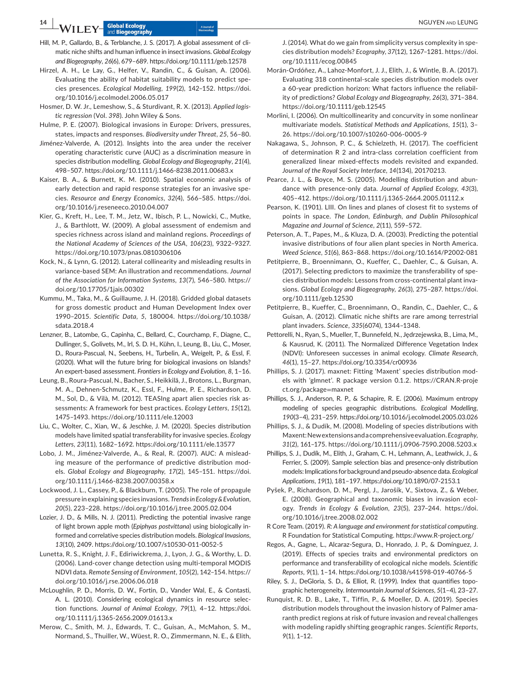**14 b**  $\overline{M}$  **i** *M*  $\overline{M}$  **Clobal Ecology and LEUNG** and LEUNG

- Hill, M. P., Gallardo, B., & Terblanche, J. S. (2017). A global assessment of climatic niche shifts and human influence in insect invasions. *Global Ecology and Biogeography*, *26*(6), 679–689.<https://doi.org/10.1111/geb.12578>
- Hirzel, A. H., Le Lay, G., Helfer, V., Randin, C., & Guisan, A. (2006). Evaluating the ability of habitat suitability models to predict species presences. *Ecological Modelling*, *199*(2), 142–152. [https://doi.](https://doi.org/10.1016/j.ecolmodel.2006.05.017) [org/10.1016/j.ecolmodel.2006.05.017](https://doi.org/10.1016/j.ecolmodel.2006.05.017)
- Hosmer, D. W. Jr., Lemeshow, S., & Sturdivant, R. X. (2013). *Applied logistic regression* (Vol. *398*). John Wiley & Sons.
- Hulme, P. E. (2007). Biological invasions in Europe: Drivers, pressures, states, impacts and responses. *Biodiversity under Threat*, *25*, 56–80.
- Jiménez-Valverde, A. (2012). Insights into the area under the receiver operating characteristic curve (AUC) as a discrimination measure in species distribution modelling. *Global Ecology and Biogeography*, *21*(4), 498–507. <https://doi.org/10.1111/j.1466-8238.2011.00683.x>
- Kaiser, B. A., & Burnett, K. M. (2010). Spatial economic analysis of early detection and rapid response strategies for an invasive species. *Resource and Energy Economics*, *32*(4), 566–585. [https://doi.](https://doi.org/10.1016/j.reseneeco.2010.04.007) [org/10.1016/j.reseneeco.2010.04.007](https://doi.org/10.1016/j.reseneeco.2010.04.007)
- Kier, G., Kreft, H., Lee, T. M., Jetz, W., Ibisch, P. L., Nowicki, C., Mutke, J., & Barthlott, W. (2009). A global assessment of endemism and species richness across island and mainland regions. *Proceedings of the National Academy of Sciences of the USA*, *106*(23), 9322–9327. <https://doi.org/10.1073/pnas.0810306106>
- Kock, N., & Lynn, G. (2012). Lateral collinearity and misleading results in variance-based SEM: An illustration and recommendations. *Journal of the Association for Information Systems*, *13*(7), 546–580. [https://](https://doi.org/10.17705/1jais.00302) [doi.org/10.17705/1jais.00302](https://doi.org/10.17705/1jais.00302)
- Kummu, M., Taka, M., & Guillaume, J. H. (2018). Gridded global datasets for gross domestic product and Human Development Index over 1990–2015. *Scientific Data*, *5*, 180004. [https://doi.org/10.1038/](https://doi.org/10.1038/sdata.2018.4) [sdata.2018.4](https://doi.org/10.1038/sdata.2018.4)
- Lenzner, B., Latombe, G., Capinha, C., Bellard, C., Courchamp, F., Diagne, C., Dullinger, S., Golivets, M., Irl, S. D. H., Kühn, I., Leung, B., Liu, C., Moser, D., Roura-Pascual, N., Seebens, H., Turbelin, A., Weigelt, P., & Essl, F. (2020). What will the future bring for biological invasions on Islands? An expert-based assessment. *Frontiers in Ecology and Evolution*, *8*, 1–16.
- Leung, B., Roura-Pascual, N., Bacher, S., Heikkilä, J., Brotons, L., Burgman, M. A., Dehnen-Schmutz, K., Essl, F., Hulme, P. E., Richardson, D. M., Sol, D., & Vilà, M. (2012). TEASIng apart alien species risk assessments: A framework for best practices. *Ecology Letters*, *15*(12), 1475–1493.<https://doi.org/10.1111/ele.12003>
- Liu, C., Wolter, C., Xian, W., & Jeschke, J. M. (2020). Species distribution models have limited spatial transferability for invasive species. *Ecology Letters*, *23*(11), 1682–1692.<https://doi.org/10.1111/ele.13577>
- Lobo, J. M., Jiménez-Valverde, A., & Real, R. (2007). AUC: A misleading measure of the performance of predictive distribution models. *Global Ecology and Biogeography*, *17*(2), 145–151. [https://doi.](https://doi.org/10.1111/j.1466-8238.2007.00358.x) [org/10.1111/j.1466-8238.2007.00358.x](https://doi.org/10.1111/j.1466-8238.2007.00358.x)
- Lockwood, J. L., Cassey, P., & Blackburn, T. (2005). The role of propagule pressure in explaining species invasions. *Trends in Ecology & Evolution*, *20*(5), 223–228. <https://doi.org/10.1016/j.tree.2005.02.004>
- Lozier, J. D., & Mills, N. J. (2011). Predicting the potential invasive range of light brown apple moth (*Epiphyas postvittana*) using biologically informed and correlative species distribution models. *Biological Invasions*, *13*(10), 2409.<https://doi.org/10.1007/s10530-011-0052-5>
- Lunetta, R. S., Knight, J. F., Ediriwickrema, J., Lyon, J. G., & Worthy, L. D. (2006). Land-cover change detection using multi-temporal MODIS NDVI data. *Remote Sensing of Environment*, *105*(2), 142–154. [https://](https://doi.org/10.1016/j.rse.2006.06.018) [doi.org/10.1016/j.rse.2006.06.018](https://doi.org/10.1016/j.rse.2006.06.018)
- McLoughlin, P. D., Morris, D. W., Fortin, D., Vander Wal, E., & Contasti, A. L. (2010). Considering ecological dynamics in resource selection functions. *Journal of Animal Ecology*, *79*(1), 4–12. [https://doi.](https://doi.org/10.1111/j.1365-2656.2009.01613.x) [org/10.1111/j.1365-2656.2009.01613.x](https://doi.org/10.1111/j.1365-2656.2009.01613.x)
- Merow, C., Smith, M. J., Edwards, T. C., Guisan, A., McMahon, S. M., Normand, S., Thuiller, W., Wüest, R. O., Zimmermann, N. E., & Elith,

J. (2014). What do we gain from simplicity versus complexity in species distribution models? *Ecography*, *37*(12), 1267–1281. [https://doi.](https://doi.org/10.1111/ecog.00845) [org/10.1111/ecog.00845](https://doi.org/10.1111/ecog.00845)

- Morán-Ordóñez, A., Lahoz-Monfort, J. J., Elith, J., & Wintle, B. A. (2017). Evaluating 318 continental-scale species distribution models over a 60-year prediction horizon: What factors influence the reliability of predictions? *Global Ecology and Biogeography*, *26*(3), 371–384. <https://doi.org/10.1111/geb.12545>
- Morlini, I. (2006). On multicollinearity and concurvity in some nonlinear multivariate models. *Statistical Methods and Applications*, *15*(1), 3– 26.<https://doi.org/10.1007/s10260-006-0005-9>
- Nakagawa, S., Johnson, P. C., & Schielzeth, H. (2017). The coefficient of determination R 2 and intra-class correlation coefficient from generalized linear mixed-effects models revisited and expanded. *Journal of the Royal Society Interface*, *14*(134), 20170213.
- Pearce, J. L., & Boyce, M. S. (2005). Modelling distribution and abundance with presence-only data. *Journal of Applied Ecology*, *43*(3), 405–412.<https://doi.org/10.1111/j.1365-2664.2005.01112.x>
- Pearson, K. (1901). LIII. On lines and planes of closest fit to systems of points in space. *The London, Edinburgh, and Dublin Philosophical Magazine and Journal of Science*, *2*(11), 559–572.
- Peterson, A. T., Papes, M., & Kluza, D. A. (2003). Predicting the potential invasive distributions of four alien plant species in North America. *Weed Science*, *51*(6), 863–868. <https://doi.org/10.1614/P2002-081>
- Petitpierre, B., Broennimann, O., Kueffer, C., Daehler, C., & Guisan, A. (2017). Selecting predictors to maximize the transferability of species distribution models: Lessons from cross-continental plant invasions. *Global Ecology and Biogeography*, *26*(3), 275–287. [https://doi.](https://doi.org/10.1111/geb.12530) [org/10.1111/geb.12530](https://doi.org/10.1111/geb.12530)
- Petitpierre, B., Kueffer, C., Broennimann, O., Randin, C., Daehler, C., & Guisan, A. (2012). Climatic niche shifts are rare among terrestrial plant invaders. *Science*, *335*(6074), 1344–1348.
- Pettorelli, N., Ryan, S., Mueller, T., Bunnefeld, N., Jędrzejewska, B., Lima, M., & Kausrud, K. (2011). The Normalized Difference Vegetation Index (NDVI): Unforeseen successes in animal ecology. *Climate Research*, *46*(1), 15–27. <https://doi.org/10.3354/cr00936>
- Phillips, S. J. (2017). maxnet: Fitting 'Maxent' species distribution models with 'glmnet'. R package version 0.1.2. [https://CRAN.R-proje](https://CRAN.R-project.org/package=maxnet) [ct.org/package](https://CRAN.R-project.org/package=maxnet)=maxnet
- Phillips, S. J., Anderson, R. P., & Schapire, R. E. (2006). Maximum entropy modeling of species geographic distributions. *Ecological Modelling*, *190*(3–4), 231–259. <https://doi.org/10.1016/j.ecolmodel.2005.03.026>
- Phillips, S. J., & Dudík, M. (2008). Modeling of species distributions with Maxent: New extensions and a comprehensive evaluation. *Ecography*, *31*(2), 161–175. <https://doi.org/10.1111/j.0906-7590.2008.5203.x>
- Phillips, S. J., Dudík, M., Elith, J., Graham, C. H., Lehmann, A., Leathwick, J., & Ferrier, S. (2009). Sample selection bias and presence-only distribution models: Implications for background and pseudo-absence data. *Ecological Applications*, *19*(1), 181–197. <https://doi.org/10.1890/07-2153.1>
- Pyšek, P., Richardson, D. M., Pergl, J., Jarošík, V., Sixtova, Z., & Weber, E. (2008). Geographical and taxonomic biases in invasion ecology. *Trends in Ecology & Evolution*, *23*(5), 237–244. [https://doi.](https://doi.org/10.1016/j.tree.2008.02.002) [org/10.1016/j.tree.2008.02.002](https://doi.org/10.1016/j.tree.2008.02.002)
- R Core Team. (2019). *R: A language and environment for statistical computing*. R Foundation for Statistical Computing.<https://www.R-project.org/>
- Regos, A., Gagne, L., Alcaraz-Segura, D., Honrado, J. P., & Domínguez, J. (2019). Effects of species traits and environmental predictors on performance and transferability of ecological niche models. *Scientific Reports*, *9*(1), 1–14. <https://doi.org/10.1038/s41598-019-40766-5>
- Riley, S. J., DeGloria, S. D., & Elliot, R. (1999). Index that quantifies topographic heterogeneity. *Intermountain Journal of Sciences*, *5*(1–4), 23–27.
- Runquist, R. D. B., Lake, T., Tiffin, P., & Moeller, D. A. (2019). Species distribution models throughout the invasion history of Palmer amaranth predict regions at risk of future invasion and reveal challenges with modeling rapidly shifting geographic ranges. *Scientific Reports*, *9*(1), 1–12.